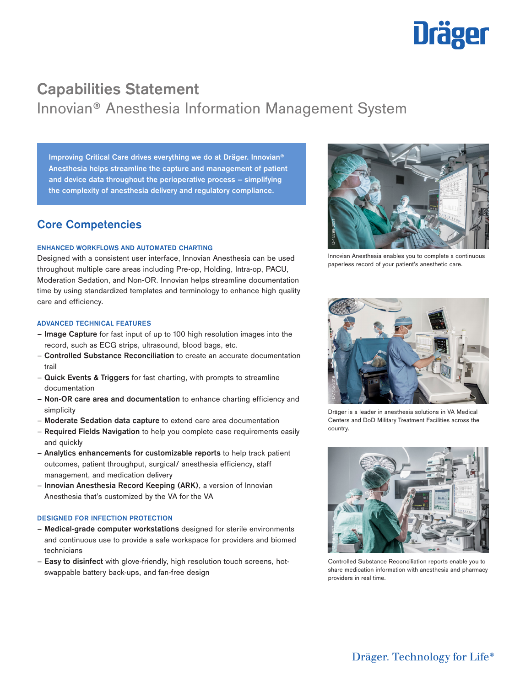

## Capabilities Statement Innovian® Anesthesia Information Management System

**Improving Critical Care drives everything we do at Dräger. Innovian® Anesthesia helps streamline the capture and management of patient and device data throughout the perioperative process – simplifying the complexity of anesthesia delivery and regulatory compliance.**

### **Core Competencies**

#### **ENHANCED WORKFLOWS AND AUTOMATED CHARTING**

Designed with a consistent user interface, Innovian Anesthesia can be used throughout multiple care areas including Pre-op, Holding, Intra-op, PACU, Moderation Sedation, and Non-OR. Innovian helps streamline documentation time by using standardized templates and terminology to enhance high quality care and efficiency.

#### **ADVANCED TECHNICAL FEATURES**

- **Image Capture** for fast input of up to 100 high resolution images into the record, such as ECG strips, ultrasound, blood bags, etc.
- **Controlled Substance Reconciliation** to create an accurate documentation trail
- **Quick Events & Triggers** for fast charting, with prompts to streamline documentation
- **Non-OR care area and documentation** to enhance charting efficiency and simplicity
- **Moderate Sedation data capture** to extend care area documentation
- **Required Fields Navigation** to help you complete case requirements easily and quickly
- **Analytics enhancements for customizable reports** to help track patient outcomes, patient throughput, surgical/ anesthesia efficiency, staff management, and medication delivery
- **Innovian Anesthesia Record Keeping (ARK)**, a version of Innovian Anesthesia that's customized by the VA for the VA

#### **DESIGNED FOR INFECTION PROTECTION**

- **Medical-grade computer workstations** designed for sterile environments and continuous use to provide a safe workspace for providers and biomed technicians
- **Easy to disinfect** with glove-friendly, high resolution touch screens, hotswappable battery back-ups, and fan-free design



Innovian Anesthesia enables you to complete a continuous paperless record of your patient's anesthetic care.



Dräger is a leader in anesthesia solutions in VA Medical Centers and DoD Military Treatment Facilities across the country.



Controlled Substance Reconciliation reports enable you to share medication information with anesthesia and pharmacy providers in real time.